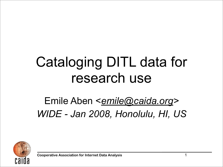# Cataloging DITL data for research use

### Emile Aben <*[emile@caida.org>](mailto:emile@caida.org) WIDE - Jan 2008, Honolulu, HI, US*

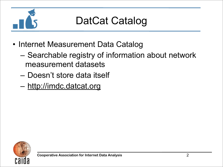

### DatCat Catalog

- Internet Measurement Data Catalog
	- Searchable registry of information about network measurement datasets
	- Doesn't store data itself
	- <http://imdc.datcat.org>

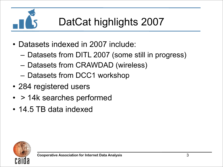

## DatCat highlights 2007

- Datasets indexed in 2007 include:
	- Datasets from DITL 2007 (some still in progress)
	- Datasets from CRAWDAD (wireless)
	- Datasets from DCC1 workshop
- 284 registered users
- > 14k searches performed
- 14.5 TB data indexed

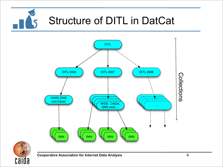



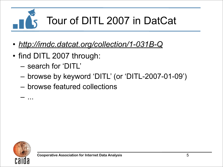

- *• [http://imdc.datcat.org/collection/1-031B-Q](http://imdc.datcat.org/collection/1-031B-Q=Day+in+the+Life+of+the+Internet%252C+January+9-10%252C+2007+%2528DITL-2007-01-09%2529%0Dimdc.datcat.org/collection/1-031B-Q=Day+in+the+Life+of+the+Internet%252C+January+9-10%252C+2007+%2528DITL-2007-01-09%2529%0D)*
- find DITL 2007 through:
	- search for 'DITL'
	- browse by keyword 'DITL' (or 'DITL-2007-01-09')
	- browse featured collections



– ...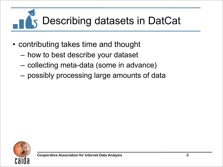# Describing datasets in DatCat

- contributing takes time and thought
	- how to best describe your dataset
	- collecting meta-data (some in advance)
	- possibly processing large amounts of data

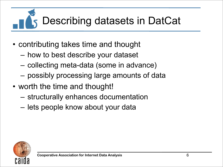# Describing datasets in DatCat

- contributing takes time and thought
	- how to best describe your dataset
	- collecting meta-data (some in advance)
	- possibly processing large amounts of data
- worth the time and thought!
	- structurally enhances documentation
	- lets people know about your data

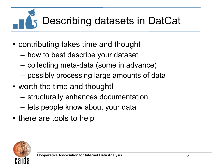# Describing datasets in DatCat

- contributing takes time and thought
	- how to best describe your dataset
	- collecting meta-data (some in advance)
	- possibly processing large amounts of data
- worth the time and thought!
	- structurally enhances documentation
	- lets people know about your data
- there are tools to help

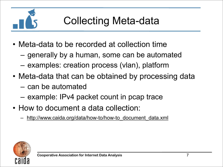

## Collecting Meta-data

- Meta-data to be recorded at collection time
	- generally by a human, some can be automated
	- examples: creation process (vlan), platform
- Meta-data that can be obtained by processing data
	- can be automated
	- example: IPv4 packet count in pcap trace
- How to document a data collection:
	- [http://www.caida.org/data/how-to/how-to\\_document\\_data.xml](http://www.caida.org/data/how-to/how-to_document_data.xml)

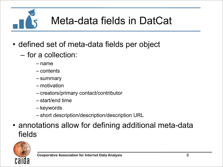Meta-data fields in DatCat

- defined set of meta-data fields per object
	- for a collection:
		- name
		- contents
		- summary
		- motivation
		- creators/primary contact/contributor
		- start/end time
		- keywords
		- short description/description/description URL
- annotations allow for defining additional meta-data fields

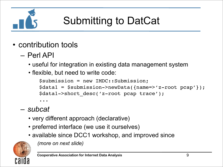

# Submitting to DatCat

- contribution tools
	- Perl API
		- useful for integration in existing data management system
		- flexible, but need to write code:

```
$submission = new IMDC::Submission;
$data1 = $submission->newData({name=>'z-root pcap'});
$data1->short_desc('z-root pcap trace');
...
```
#### – *subcat*

- very different approach (declarative)
- preferred interface (we use it ourselves)
- available since DCC1 workshop, and improved since



*(more on next slide)*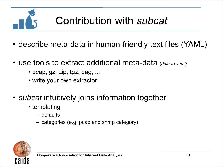- describe meta-data in human-friendly text files (YAML)
- use tools to extract additional meta-data (*data-to-yaml)*
	- pcap, gz, zip, tgz, dag, ...
	- write your own extractor
- *subcat* intuitively joins information together
	- templating
		- defaults
		- categories (e.g. pcap and snmp category)

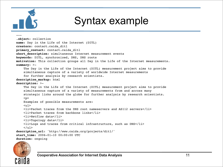

#### Syntax example

--- .**object**: collection **name**: Day in the Life of the Internet (DITL) **creators**: contact.caida\_ditl **primary\_contact**: contact.caida\_ditl short description: simultaneous Internet measurement events **keywords**: DITL, synchronized, DNS, DNS roots **motivation**: This collection groups all Day in the Life of the Internet measurements. **summary**: >- The Day in the Life of the Internet (DITL) measurement project aims to provide simultaneous capture of a variety of worldwide Internet measurements for further analysis by research scientists. **description\_markup**: html **description**: >- The Day in the Life of the Internet (DITL) measurement project aims to provide simultaneous capture of a variety of measurements from and across many strategic links around the globe for further analysis by research scientists.  $< p >$  Examples of possible measurements are:  $\langle u \rangle$  <li>Packet traces from the DNS root nameservers and AS112 servers</li> <li>Packet traces from backbone links</li> <li>Netflow data</li> <li>Topology data</li> <li>Logs and traces from critical infrastructure, such as DNS</li>  $\langle$ ul> **description\_url**: 'http://www.caida.org/projects/ditl/' start time: 2006-01-10 00:00:00 UTC **duration**: ongoing

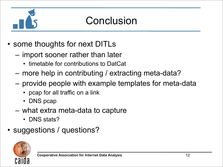

### Conclusion

- some thoughts for next DITLs
	- import sooner rather than later
		- timetable for contributions to DatCat
	- more help in contributing / extracting meta-data?
	- provide people with example templates for meta-data
		- pcap for all traffic on a link
		- DNS pcap
	- what extra meta-data to capture
		- DNS stats?
- suggestions / questions?